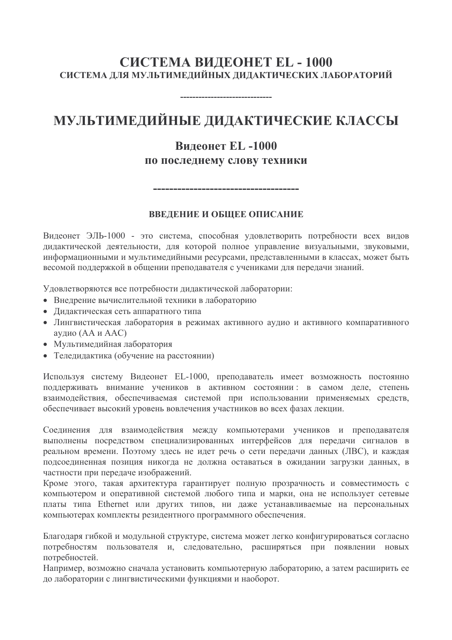### СИСТЕМА ВИДЕОНЕТ EL - 1000 СИСТЕМА ЛЛЯ МУЛЬТИМЕЛИЙНЫХ ЛИЛАКТИЧЕСКИХ ЛАБОРАТОРИЙ

# МУЛЬТИМЕДИЙНЫЕ ДИДАКТИЧЕСКИЕ КЛАССЫ

# **Вилеонет EL-1000** по последнему слову техники

#### ВВЕЛЕНИЕ И ОБШЕЕ ОПИСАНИЕ

\_\_\_\_\_\_\_\_\_\_\_\_\_\_\_\_\_\_\_\_\_\_\_\_\_\_\_\_\_\_\_\_\_\_

Видеонет ЭЛЬ-1000 - это система, способная удовлетворить потребности всех видов дидактической деятельности, для которой полное управление визуальными, звуковыми, информационными и мультимедийными ресурсами, представленными в классах, может быть весомой поддержкой в общении преподавателя с учениками для передачи знаний.

Удовлетворяются все потребности дидактической лаборатории:

- Внедрение вычислительной техники в лабораторию
- Дидактическая сеть аппаратного типа
- Лингвистическая лаборатория в режимах активного аудио и активного компаративного аудио (АА и ААС)
- Мультимедийная лаборатория
- Теледидактика (обучение на расстоянии)

Используя систему Видеонет EL-1000, преподаватель имеет возможность постоянно поддерживать внимание учеников в активном состоянии: в самом деле, степень взаимодействия, обеспечиваемая системой при использовании применяемых средств, обеспечивает высокий уровень вовлечения участников во всех фазах лекции.

Соединения для взаимодействия между компьютерами учеников и преподавателя выполнены посредством специализированных интерфейсов для передачи сигналов в реальном времени. Поэтому здесь не идет речь о сети передачи данных (ЛВС), и каждая полсоелиненная позиция никогда не должна оставаться в ожидании загрузки данных, в частности при передаче изображений.

Кроме этого, такая архитектура гарантирует полную прозрачность и совместимость с компьютером и оперативной системой любого типа и марки, она не использует сетевые платы типа Ethernet или других типов, ни даже устанавливаемые на персональных компьютерах комплекты резидентного программного обеспечения.

Благодаря гибкой и модульной структуре, система может легко конфигурироваться согласно потребностям пользователя и, следовательно, расширяться при появлении новых потребностей.

Например, возможно сначала установить компьютерную лабораторию, а затем расширить ее до лаборатории с лингвистическими функциями и наоборот.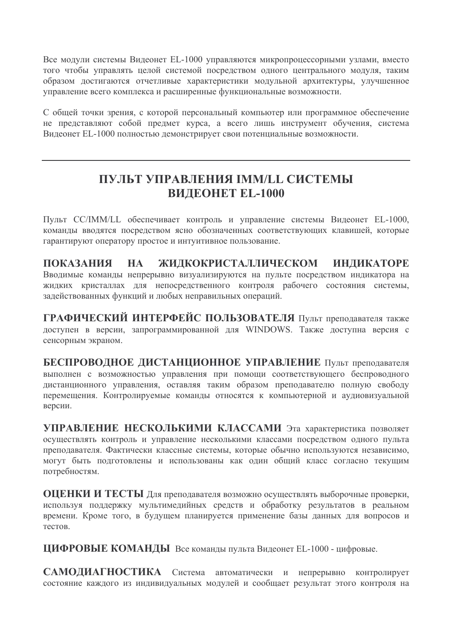Все модули системы Видеонет EL-1000 управляются микропроцессорными узлами, вместо того чтобы управлять целой системой посредством одного центрального модуля, таким образом достигаются отчетливые характеристики модульной архитектуры, улучшенное управление всего комплекса и расширенные функциональные возможности.

С общей точки зрения, с которой персональный компьютер или программное обеспечение не представляют собой предмет курса, а всего лишь инструмент обучения, система Видеонет EL-1000 полностью демонстрирует свои потенциальные возможности.

### ПУЛЬТ УПРАВЛЕНИЯ ІММ/LL СИСТЕМЫ **BИЛЕОНЕТ EL-1000**

Пульт CC/IMM/LL обеспечивает контроль и управление системы Видеонет EL-1000, команды вводятся посредством ясно обозначенных соответствующих клавишей, которые гарантируют оператору простое и интуитивное пользование.

**ПОКАЗАНИЯ HA** ЖИДКОКРИСТАЛЛИЧЕСКОМ ИНДИКАТОРЕ Вводимые команды непрерывно визуализируются на пульте посредством индикатора на жидких кристаллах для непосредственного контроля рабочего состояния системы, задействованных функций и любых неправильных операций.

ГРАФИЧЕСКИЙ ИНТЕРФЕЙС ПОЛЬЗОВАТЕЛЯ Пульт преподавателя также лоступен в версии, запрограммированной для WINDOWS. Также лоступна версия с сенсорным экраном.

БЕСПРОВОДНОЕ ДИСТАНЦИОННОЕ УПРАВЛЕНИЕ Пульт преподавателя выполнен с возможностью управления при помощи соответствующего беспроводного дистанционного управления, оставляя таким образом преподавателю полную свободу перемещения. Контролируемые команды относятся к компьютерной и аудиовизуальной версии.

УПРАВЛЕНИЕ НЕСКОЛЬКИМИ КЛАССАМИ Эта характеристика позволяет осуществлять контроль и управление несколькими классами посредством одного пульта преподавателя. Фактически классные системы, которые обычно используются независимо, могут быть подготовлены и использованы как один общий класс согласно текущим потребностям.

ОЦЕНКИ И ТЕСТЫ Для преподавателя возможно осуществлять выборочные проверки, используя поддержку мультимелийных средств и обработку результатов в реальном времени. Кроме того, в будущем планируется применение базы данных для вопросов и тестов.

ЦИФРОВЫЕ КОМАНДЫ Все команды пульта Видеонет EL-1000 - цифровые.

САМОЛИАГНОСТИКА Система автоматически и непрерывно контролирует состояние каждого из индивидуальных модулей и сообщает результат этого контроля на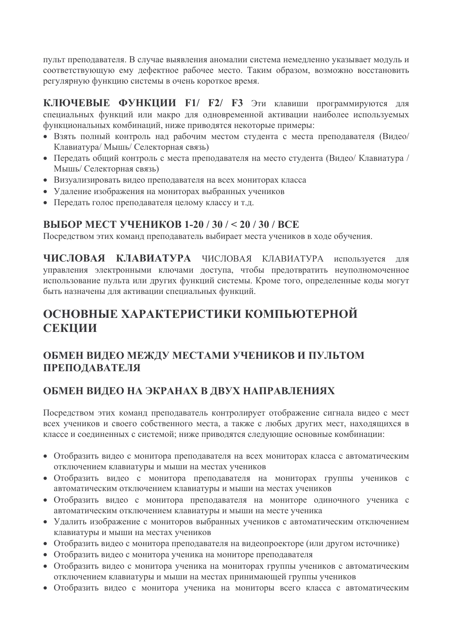пульт преподавателя. В случае выявления аномалии система немедленно указывает модуль и соответствующую ему дефектное рабочее место. Таким образом, возможно восстановить регулярную функцию системы в очень короткое время.

КЛЮЧЕВЫЕ ФУНКЦИИ F1/ F2/ F3 Эти клавиши программируются для специальных функций или макро для одновременной активации наиболее используемых функциональных комбинаций, ниже приводятся некоторые примеры:

- Взять полный контроль над рабочим местом студента с места преподавателя (Видео/ Клавиатура/ Мышь/ Селекторная связь)
- Передать общий контроль с места преподавателя на место студента (Видео/ Клавиатура / Мышь/ Селекторная связь)
- Визуализировать видео преподавателя на всех мониторах класса
- Удаление изображения на мониторах выбранных учеников
- Передать голос преподавателя целому классу и т.д.

#### **ВЫБОР МЕСТ УЧЕНИКОВ 1-20 / 30 / < 20 / 30 / ВСЕ**

Посредством этих команд преподаватель выбирает места учеников в ходе обучения.

ЧИСЛОВАЯ КЛАВИАТУРА ЧИСЛОВАЯ КЛАВИАТУРА используется для управления электронными ключами доступа, чтобы предотвратить неуполномоченное использование пульта или других функций системы. Кроме того, определенные коды могут быть назначены для активации специальных функций.

# ОСНОВНЫЕ ХАРАКТЕРИСТИКИ КОМПЬЮТЕРНОЙ СЕКЦИИ

### ОБМЕН ВИДЕО МЕЖДУ МЕСТАМИ УЧЕНИКОВ И ПУЛЬТОМ ПРЕПОДАВАТЕЛЯ

### ОБМЕН ВИДЕО НА ЭКРАНАХ В ДВУХ НАПРАВЛЕНИЯХ

Посредством этих команд преподаватель контролирует отображение сигнала видео с мест всех учеников и своего собственного места, а также с любых других мест, находящихся в классе и соединенных с системой; ниже приводятся следующие основные комбинации:

- Отобразить видео с монитора преподавателя на всех мониторах класса с автоматическим отключением клавиатуры и мыши на местах учеников
- Отобразить видео с монитора преподавателя на мониторах группы учеников с автоматическим отключением клавиатуры и мыши на местах учеников
- Отобразить видео с монитора преподавателя на мониторе одиночного ученика с автоматическим отключением клавиатуры и мыши на месте ученика
- Удалить изображение с мониторов выбранных учеников с автоматическим отключением клавиатуры и мыши на местах учеников
- Отобразить видео с монитора преподавателя на видеопроекторе (или другом источнике)
- Отобразить видео с монитора ученика на мониторе преподавателя
- Отобразить видео с монитора ученика на мониторах группы учеников с автоматическим отключением клавиатуры и мыши на местах принимающей группы учеников
- Отобразить видео с монитора ученика на мониторы всего класса с автоматическим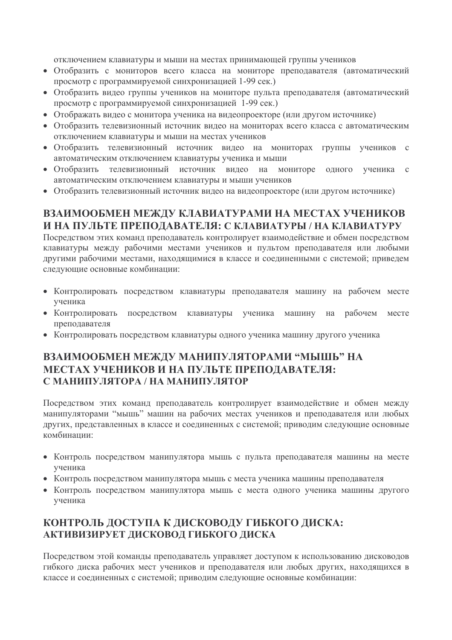отключением клавиатуры и мыши на местах принимающей группы учеников

- Отобразить с мониторов всего класса на мониторе преподавателя (автоматический просмотр с программируемой синхронизацией 1-99 сек.)
- Отобразить видео группы учеников на мониторе пульта преподавателя (автоматический просмотр с программируемой синхронизацией 1-99 сек.)
- Отображать видео с монитора ученика на видеопроекторе (или другом источнике)
- Отобразить телевизионный источник видео на мониторах всего класса с автоматическим отключением клавиатуры и мыши на местах учеников
- Отобразить телевизионный источник видео на мониторах группы учеников с автоматическим отключением клавиатуры ученика и мыши
- Отобразить телевизионный источник видео на мониторе одного ученика с автоматическим отключением клавиатуры и мыши учеников
- Отобразить телевизионный источник видео на видеопроекторе (или другом источнике)

### ВЗАИМООБМЕН МЕЖДУ КЛАВИАТУРАМИ НА МЕСТАХ УЧЕНИКОВ И НА ПУЛЬТЕ ПРЕПОДАВАТЕЛЯ: С КЛАВИАТУРЫ / НА КЛАВИАТУРУ

Посредством этих команд преподаватель контролирует взаимодействие и обмен посредством клавиатуры между рабочими местами учеников и пультом преподавателя или любыми другими рабочими местами, находящимися в классе и соединенными с системой; приведем следующие основные комбинации:

- Контролировать посредством клавиатуры преподавателя машину на рабочем месте ученика
- Контролировать посредством клавиатуры ученика машину на рабочем месте преподавателя
- Контролировать посредством клавиатуры одного ученика машину другого ученика

#### ВЗАИМООБМЕН МЕЖДУ МАНИПУЛЯТОРАМИ "МЫШЬ" НА МЕСТАХ УЧЕНИКОВ И НА ПУЛЬТЕ ПРЕПОЛАВАТЕЛЯ: С МАНИПУЛЯТОРА / НА МАНИПУЛЯТОР

Посредством этих команд преподаватель контролирует взаимодействие и обмен между манипуляторами "мышь" машин на рабочих местах учеников и преподавателя или любых других, представленных в классе и соединенных с системой; приводим следующие основные комбинании:

- Контроль посредством манипулятора мышь с пульта преподавателя машины на месте ученика
- Контроль посредством манипулятора мышь с места ученика машины преподавателя
- Контроль посредством манипулятора мышь с места одного ученика машины другого ученика

### КОНТРОЛЬ ДОСТУПА К ДИСКОВОДУ ГИБКОГО ДИСКА: АКТИВИЗИРУЕТ ДИСКОВОД ГИБКОГО ДИСКА

Посредством этой команды преподаватель управляет доступом к использованию дисководов гибкого диска рабочих мест учеников и преподавателя или любых других, находящихся в классе и соединенных с системой; приводим следующие основные комбинации;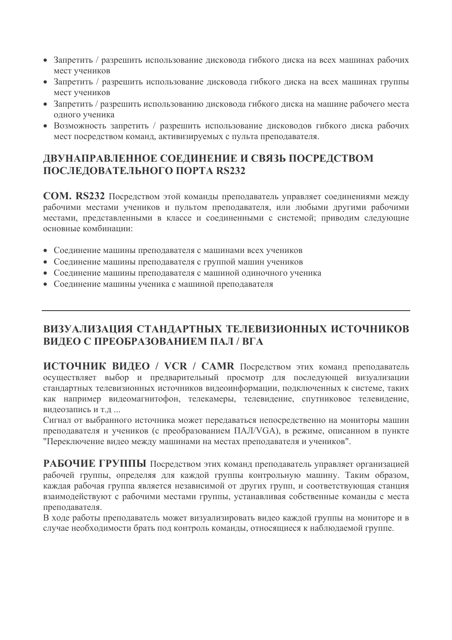- Запретить / разрешить использование дисковода гибкого диска на всех машинах рабочих мест учеников
- Запретить / разрешить использование дисковода гибкого диска на всех машинах группы мест учеников
- Запретить / разрешить использованию дисковода гибкого диска на машине рабочего места одного ученика
- Возможность запретить / разрешить использование дисководов гибкого диска рабочих мест посредством команд, активизируемых с пульта преподавателя.

### ДВУНАПРАВЛЕННОЕ СОЕДИНЕНИЕ И СВЯЗЬ ПОСРЕДСТВОМ ПОСЛЕДОВАТЕЛЬНОГО ПОРТА RS232

**COM. RS232** Посредством этой команды преподаватель управляет соединениями между рабочими местами учеников и пультом преподавателя, или любыми другими рабочими местами, представленными в классе и соединенными с системой; приводим следующие основные комбинации:

- Соединение машины преподавателя с машинами всех учеников
- Соединение машины преподавателя с группой машин учеников
- Соединение машины преподавателя с машиной одиночного ученика
- Соединение машины ученика с машиной преподавателя

### ВИЗУАЛИЗАЦИЯ СТАНДАРТНЫХ ТЕЛЕВИЗИОННЫХ ИСТОЧНИКОВ ВИДЕО С ПРЕОБРАЗОВАНИЕМ ПАЛ / ВГА

ИСТОЧНИК ВИДЕО / VCR / CAMR Посредством этих команд преподаватель осуществляет выбор и предварительный просмотр для последующей визуализации стандартных телевизионных источников видеоинформации, подключенных к системе, таких как например видеомагнитофон, телекамеры, телевидение, спутниковое телевидение, видеозапись и т.д ...

Сигнал от выбранного источника может передаваться непосредственно на мониторы машин преподавателя и учеников (с преобразованием ПАЛ/VGA), в режиме, описанном в пункте "Переключение видео между машинами на местах преподавателя и учеников".

РАБОЧИЕ ГРУППЫ Посредством этих команд преподаватель управляет организацией рабочей группы, определяя для каждой группы контрольную машину. Таким образом, каждая рабочая группа является независимой от других групп, и соответствующая станция взаимодействуют с рабочими местами группы, устанавливая собственные команды с места преподавателя.

В ходе работы преподаватель может визуализировать видео каждой группы на мониторе и в случае необходимости брать под контроль команды, относящиеся к наблюдаемой группе.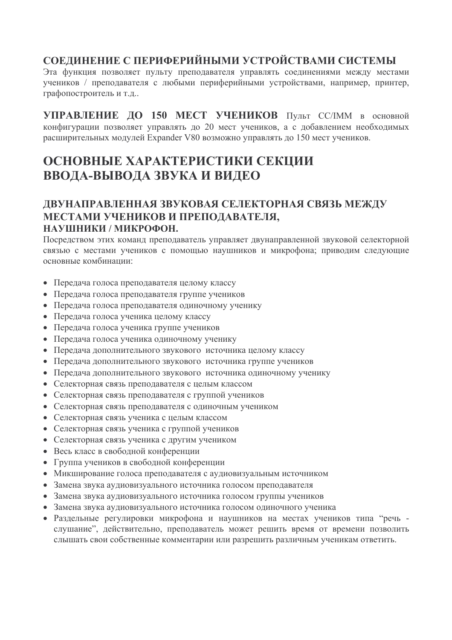### СОЕЛИНЕНИЕ С ПЕРИФЕРИЙНЫМИ УСТРОЙСТВАМИ СИСТЕМЫ

Эта функция позволяет пульту преподавателя управлять соединениями между местами учеников / преподавателя с любыми периферийными устройствами, например, принтер, графопостроитель и т.д..

УПРАВЛЕНИЕ ДО 150 МЕСТ УЧЕНИКОВ ПУЛЬТ СС/ІММ в основной конфигурации позволяет управлять до 20 мест учеников, а с добавлением необходимых расширительных модулей Expander V80 возможно управлять до 150 мест учеников.

# ОСНОВНЫЕ ХАРАКТЕРИСТИКИ СЕКЦИИ ВВОДА-ВЫВОДА ЗВУКА И ВИДЕО

#### ДВУНАПРАВЛЕННАЯ ЗВУКОВАЯ СЕЛЕКТОРНАЯ СВЯЗЬ МЕЖДУ МЕСТАМИ УЧЕНИКОВ И ПРЕПОЛАВАТЕЛЯ. НАУШНИКИ / МИКРОФОН.

Посредством этих команд преподаватель управляет двунаправленной звуковой селекторной связью с местами учеников с помощью наушников и микрофона; приводим следующие основные комбинации:

- Передача голоса преподавателя целому классу
- Передача голоса преподавателя группе учеников
- Передача голоса преподавателя одиночному ученику
- Передача голоса ученика целому классу
- Передача голоса ученика группе учеников
- Передача голоса ученика одиночному ученику
- Передача дополнительного звукового источника целому классу
- Передача дополнительного звукового источника группе учеников
- Передача дополнительного звукового источника одиночному ученику
- Селекторная связь преподавателя с целым классом
- Селекторная связь преподавателя с группой учеников
- Селекторная связь преподавателя с одиночным учеником
- Селекторная связь ученика с целым классом
- Селекторная связь ученика с группой учеников
- Селекторная связь ученика с другим учеником
- Весь класс в свободной конференции
- Группа учеников в свободной конференции
- Микширование голоса преподавателя с аудиовизуальным источником
- Замена звука аудиовизуального источника голосом преподавателя
- Замена звука аудиовизуального источника голосом группы учеников
- Замена звука аудиовизуального источника голосом одиночного ученика
- Раздельные регулировки микрофона и наушников на местах учеников типа "речь слушание", действительно, преподаватель может решить время от времени позволить слышать свои собственные комментарии или разрешить различным ученикам ответить.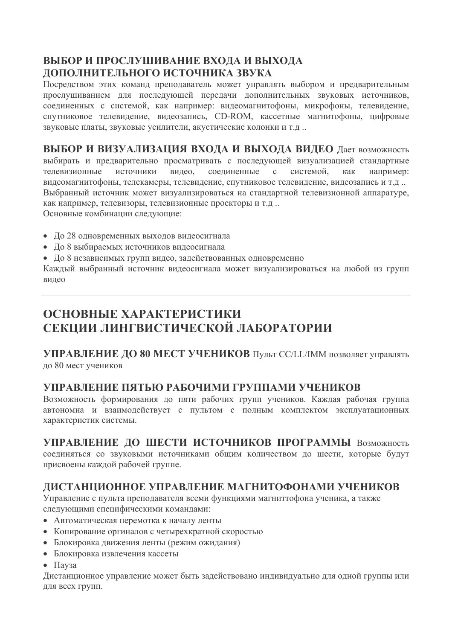### ВЫБОР И ПРОСЛУШИВАНИЕ ВХОДА И ВЫХОДА ДОПОЛНИТЕЛЬНОГО ИСТОЧНИКА ЗВУКА

Посредством этих команд преподаватель может управлять выбором и предварительным прослушиванием для последующей передачи дополнительных звуковых источников, соединенных с системой, как например: видеомагнитофоны, микрофоны, телевидение, спутниковое телевидение, видеозапись, CD-ROM, кассетные магнитофоны, цифровые звуковые платы, звуковые усилители, акустические колонки и т.д..

ВЫБОР И ВИЗУАЛИЗАЦИЯ ВХОДА И ВЫХОДА ВИДЕО Дает возможность выбирать и предварительно просматривать с последующей визуализацией стандартные телевизионные источники видео. соелиненные  $\mathbf{c}$ системой. как например: видеомагнитофоны, телекамеры, телевидение, спутниковое телевидение, видеозапись и т.д. Выбранный источник может визуализироваться на стандартной телевизионной аппаратуре, как например, телевизоры, телевизионные проекторы и т.д.. Основные комбинации следующие:

- До 28 одновременных выходов видеосигнала
- До 8 выбираемых источников видеосигнала
- До 8 независимых групп видео, задействованных одновременно

Каждый выбранный источник видеосигнала может визуализироваться на любой из групп вилео

# ОСНОВНЫЕ ХАРАКТЕРИСТИКИ СЕКЦИИ ЛИНГВИСТИЧЕСКОЙ ЛАБОРАТОРИИ

**УПРАВЛЕНИЕ ДО 80 МЕСТ УЧЕНИКОВ ПУЛЬТ СС/LL/IMM позволяет управлять** до 80 мест учеников

### УПРАВЛЕНИЕ ПЯТЬЮ РАБОЧИМИ ГРУППАМИ УЧЕНИКОВ

Возможность формирования до пяти рабочих групп учеников. Каждая рабочая группа автономна и взаимодействует с пультом с полным комплектом эксплуатационных характеристик системы.

УПРАВЛЕНИЕ ДО ШЕСТИ ИСТОЧНИКОВ ПРОГРАММЫ Возможность соединяться со звуковыми источниками общим количеством до шести, которые будут присвоены каждой рабочей группе.

### ЛИСТАНЦИОННОЕ УПРАВЛЕНИЕ МАГНИТОФОНАМИ УЧЕНИКОВ

Управление с пульта преподавателя всеми функциями магниттофона ученика, а также следующими специфическими командами:

- Автоматическая перемотка к началу ленты
- Копирование оргиналов с четырехкратной скоростью
- Блокировка движения ленты (режим ожидания)
- Блокировка извлечения кассеты
- $\bullet$   $\Box$ av3a

Дистанционное управление может быть задействовано индивидуально для одной группы или для всех групп.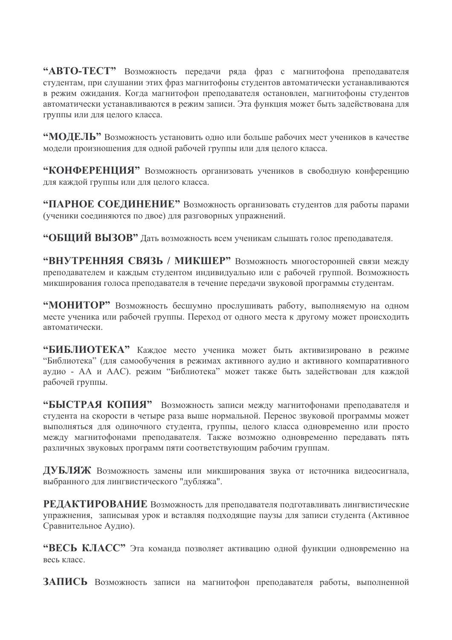"АВТО-ТЕСТ" Возможность передачи ряда фраз с магнитофона преподавателя студентам, при слушании этих фраз магнитофоны студентов автоматически устанавливаются в режим ожидания. Когда магнитофон преподавателя остановлен, магнитофоны студентов автоматически устанавливаются в режим записи. Эта функция может быть задействована для группы или для целого класса.

"МОДЕЛЬ" Возможность установить одно или больше рабочих мест учеников в качестве модели произношения для одной рабочей группы или для целого класса.

"КОНФЕРЕНЦИЯ" Возможность организовать учеников в свободную конференцию для каждой группы или для целого класса.

"ПАРНОЕ СОЕДИНЕНИЕ" Возможность организовать студентов для работы парами (ученики соелиняются по лвое) для разговорных упражнений.

"ОБШИЙ ВЫЗОВ" Дать возможность всем ученикам слышать голос преподавателя.

"ВНУТРЕННЯЯ СВЯЗЬ / МИКШЕР" Возможность многосторонней связи между преподавателем и каждым студентом индивидуально или с рабочей группой. Возможность микширования голоса преподавателя в течение передачи звуковой программы студентам.

"МОНИТОР" Возможность бесшумно прослушивать работу, выполняемую на одном месте ученика или рабочей группы. Переход от одного места к другому может происходить автоматически

"БИБЛИОТЕКА" Каждое место ученика может быть активизировано в режиме "Библиотека" (для самообучения в режимах активного аудио и активного компаративного аудио - АА и ААС). режим "Библиотека" может также быть задействован для каждой рабочей группы.

"БЫСТРАЯ КОПИЯ" Возможность записи между магнитофонами преподавателя и студента на скорости в четыре раза выше нормальной. Перенос звуковой программы может выполняться для одиночного студента, группы, целого класса одновременно или просто между магнитофонами преподавателя. Также возможно одновременно передавать пять различных звуковых программ пяти соответствующим рабочим группам.

ДУБЛЯЖ Возможность замены или микширования звука от источника видеосигнала, выбранного для лингвистического "дубляжа".

РЕДАКТИРОВАНИЕ Возможность для преподавателя подготавливать лингвистические упражнения, записывая урок и вставляя подходящие паузы для записи студента (Активное Сравнительное Аудио).

"ВЕСЬ КЛАСС" Эта команда позволяет активацию одной функции одновременно на весь класс

ЗАПИСЬ Возможность записи на магнитофон преподавателя работы, выполненной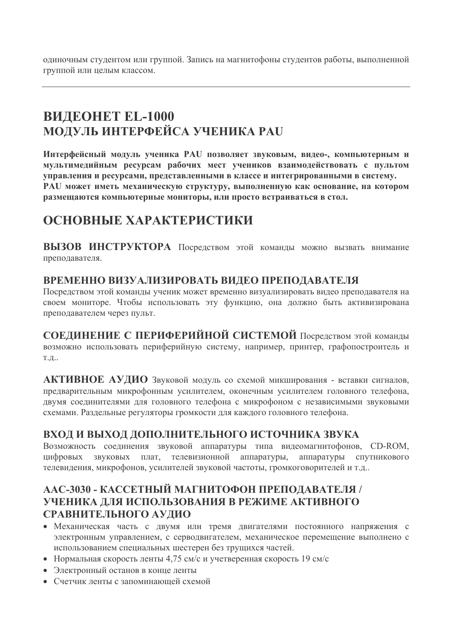одиночным студентом или группой. Запись на магнитофоны студентов работы, выполненной группой или целым классом.

# **ВИДЕОНЕТ EL-1000 МОДУЛЬ ИНТЕРФЕЙСА УЧЕНИКА РАU**

Интерфейсный модуль ученика PAU позволяет звуковым, видео-, компьютерным и мультимедийным ресурсам рабочих мест учеников взаимодействовать с пультом управления и ресурсами, представленными в классе и интегрированными в систему. PAU может иметь механическую структуру, выполненную как основание, на котором размещаются компьютерные мониторы, или просто встраиваться в стол.

### ОСНОВНЫЕ ХАРАКТЕРИСТИКИ

ВЫЗОВ ИНСТРУКТОРА Посредством этой команды можно вызвать внимание преподавателя.

#### ВРЕМЕННО ВИЗУАЛИЗИРОВАТЬ ВИДЕО ПРЕПОДАВАТЕЛЯ

Посредством этой команды ученик может временно визуализировать видео преподавателя на своем мониторе. Чтобы использовать эту функцию, она должно быть активизирована преподавателем через пульт.

СОЕДИНЕНИЕ С ПЕРИФЕРИЙНОЙ СИСТЕМОЙ Посредством этой команды возможно использовать периферийную систему, например, принтер, графопостроитель и  $T.H.$ 

АКТИВНОЕ АУЛИО Звуковой молуль со схемой микширования - вставки сигналов. предварительным микрофонным усилителем, оконечным усилителем головного телефона, двумя соединителями для головного телефона с микрофоном с независимыми звуковыми схемами. Раздельные регуляторы громкости для каждого головного телефона.

### ВХОД И ВЫХОД ДОПОЛНИТЕЛЬНОГО ИСТОЧНИКА ЗВУКА

Возможность соединения звуковой аппаратуры типа видеомагнитофонов, CD-ROM, цифровых звуковых плат, телевизионной аппаратуры, аппаратуры спутникового телевидения, микрофонов, усилителей звуковой частоты, громкоговорителей и т.д..

#### ААС-3030 - КАССЕТНЫЙ МАГНИТОФОН ПРЕПОДАВАТЕЛЯ / УЧЕНИКА ДЛЯ ИСПОЛЬЗОВАНИЯ В РЕЖИМЕ АКТИВНОГО СРАВНИТЕЛЬНОГО АУДИО

- Механическая часть с двумя или тремя двигателями постоянного напряжения с электронным управлением, с серводвигателем, механическое перемещение выполнено с использованием специальных шестерен без трущихся частей.
- Нормальная скорость ленты 4,75 см/с и учетверенная скорость 19 см/с
- Электронный останов в конце ленты
- Счетчик пенты с запоминающей схемой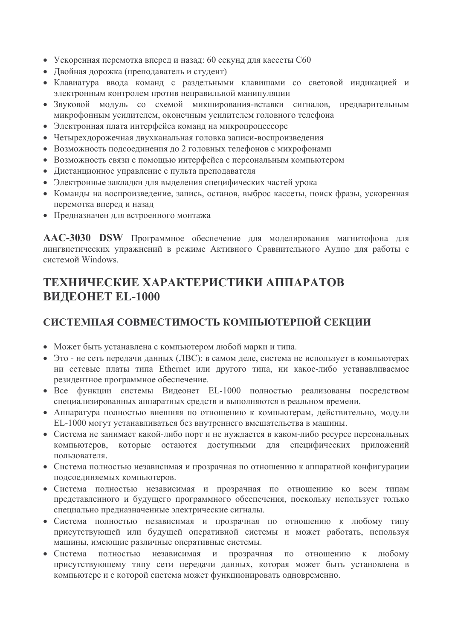- Ускоренная перемотка вперед и назад: 60 секунд для кассеты С60
- Двойная дорожка (преподаватель и студент)
- Клавиатура ввода команд с раздельными клавишами со световой индикацией и электронным контролем против неправильной манипуляции
- Звуковой молуль со схемой микширования-вставки сигналов, предварительным микрофонным усилителем, оконечным усилителем головного телефона
- Электронная плата интерфейса команд на микропроцессоре
- Четырехдорожечная двухканальная головка записи-воспроизведения
- Возможность подсоединения до 2 головных телефонов с микрофонами
- Возможность связи с помощью интерфейса с персональным компьютером
- Листанционное управление с пульта преподавателя
- Электронные закладки для выделения специфических частей урока
- Команды на воспроизведение, запись, останов, выброс кассеты, поиск фразы, ускоренная перемотка вперед и назад
- Предназначен для встроенного монтажа

AAC-3030 DSW Программное обеспечение для моделирования магнитофона для лингвистических упражнений в режиме Активного Сравнительного Аудио для работы с системой Windows.

### ТЕХНИЧЕСКИЕ ХАРАКТЕРИСТИКИ АППАРАТОВ **ВИДЕОНЕТ EL-1000**

### СИСТЕМНАЯ СОВМЕСТИМОСТЬ КОМПЬЮТЕРНОЙ СЕКЦИИ

- Может быть устанавлена с компьютером любой марки и типа.
- Это не сеть передачи данных (ЛВС): в самом деле, система не использует в компьютерах ни сетевые платы типа Ethernet или другого типа, ни какое-либо устанавливаемое резидентное программное обеспечение.
- Все функции системы Видеонет EL-1000 полностью реализованы посредством специализированных аппаратных средств и выполняются в реальном времени.
- Аппаратура полностью внешняя по отношению к компьютерам, действительно, модули EL-1000 могут устанавливаться без внутреннего вмешательства в машины.
- Система не занимает какой-либо порт и не нуждается в каком-либо ресурсе персональных компьютеров, которые остаются доступными для специфических приложений пользователя.
- Система полностью независимая и прозрачная по отношению к аппаратной конфигурации подсоединяемых компьютеров.
- Система полностью независимая и прозрачная по отношению ко всем типам представленного и будущего программного обеспечения, поскольку использует только специально предназначенные электрические сигналы.
- Система полностью независимая и прозрачная по отношению к любому типу присутствующей или будущей оперативной системы и может работать, используя машины, имеющие различные оперативные системы.
- Система полностью независимая и прозрачная по отношению к любому присутствующему типу сети передачи данных, которая может быть установлена в компьютере и с которой система может функционировать одновременно.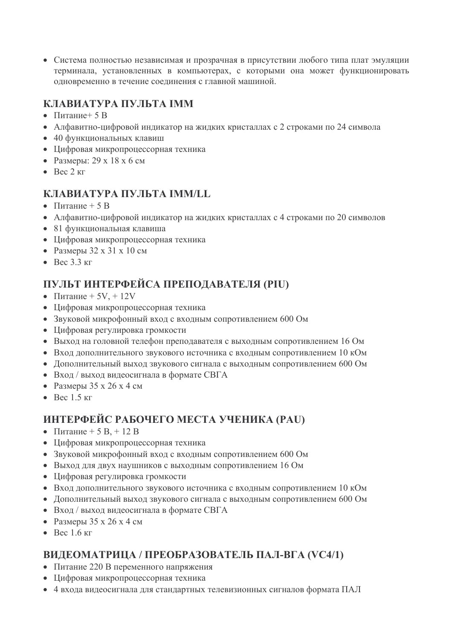• Система полностью независимая и прозрачная в присутствии любого типа плат эмуляции терминала, установленных в компьютерах, с которыми она может функционировать одновременно в течение соединения с главной машиной.

### КЛАВИАТУРА ПУЛЬТА ІММ

- Питание $+5B$
- Алфавитно-цифровой индикатор на жидких кристаллах с 2 строками по 24 символа
- 40 функциональных клавиш
- Цифровая микропроцессорная техника
- Размеры: 29 х 18 х 6 см
- $\bullet$  Rec  $2 \text{ кr}$

### **КЛАВИАТУРА ПУЛЬТА IMM/LL**

- Питание  $+5B$
- Алфавитно-цифровой индикатор на жидких кристаллах с 4 строками по 20 символов
- 81 функциональная клавиша
- Цифровая микропроцессорная техника
- Размеры 32 х 31 х 10 см
- $\bullet$  Bec 3.3  $\text{KT}$

### ПУЛЬТ ИНТЕРФЕЙСА ПРЕПОДАВАТЕЛЯ (PIU)

- Питание +  $5V_1 + 12V_2$
- Цифровая микропроцессорная техника
- Звуковой микрофонный вход с входным сопротивлением 600 Ом
- Цифровая регулировка громкости
- Выход на головной телефон преподавателя с выходным сопротивлением 16 Ом
- Вход дополнительного звукового источника с входным сопротивлением 10 кОм
- Дополнительный выход звукового сигнала с выходным сопротивлением 600 Ом
- Вход / выход видеосигнала в формате СВГА
- Размеры 35 х 26 х 4 см
- $\bullet$  Bec 1.5  $\text{KT}$

### ИНТЕРФЕЙС РАБОЧЕГО МЕСТА УЧЕНИКА (PAU)

- Питание + 5 В, + 12 В
- Цифровая микропроцессорная техника
- Звуковой микрофонный вход с входным сопротивлением 600 Ом
- Выход для двух наушников с выходным сопротивлением 16 Ом
- Цифровая регулировка громкости
- Вход дополнительного звукового источника с входным сопротивлением 10 кОм
- Дополнительный выход звукового сигнала с выходным сопротивлением 600 Ом
- Вход / выход видеосигнала в формате СВГА
- Размеры  $35 \times 26 \times 4$  см
- $\bullet$  Bec 1.6  $\text{KT}$

### ВИДЕОМАТРИЦА / ПРЕОБРАЗОВАТЕЛЬ ПАЛ-ВГА (VC4/1)

- Питание 220 В переменного напряжения
- Цифровая микропроцессорная техника
- 4 входа видеосигнала для стандартных телевизионных сигналов формата ПАЛ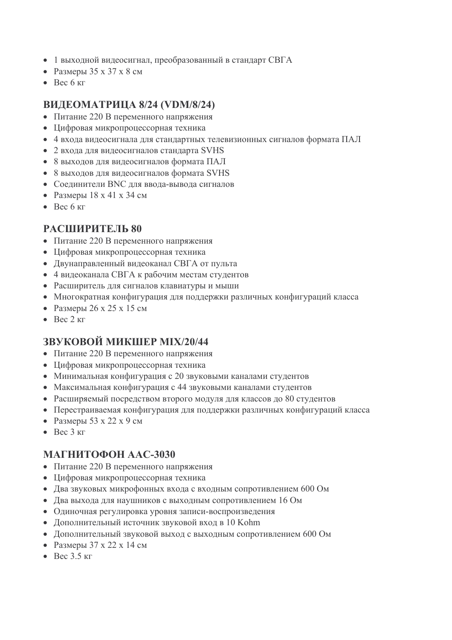- 1 выходной видеосигнал, преобразованный в стандарт СВГА
- Размеры 35 х 37 х 8 см
- $\bullet$  Bec 6  $\kappa$ F

#### ВИДЕОМАТРИЦА 8/24 (VDM/8/24)

- Питание 220 В переменного напряжения
- Цифровая микропроцессорная техника
- 4 входа видеосигнала для стандартных телевизионных сигналов формата ПАЛ
- 2 входа для видеосигналов стандарта SVHS
- 8 выходов для видеосигналов формата ПАЛ
- 8 выходов для видеосигналов формата SVHS
- Соединители ВНС для ввода-вывода сигналов
- Размеры 18 х 41 х 34 см
- $\bullet$  Bec 6  $\kappa$ F

#### РАСШИРИТЕЛЬ 80

- Питание 220 В переменного напряжения
- Цифровая микропроцессорная техника
- Двунаправленный видеоканал СВГА от пульта
- 4 видеоканала СВГА к рабочим местам студентов
- Расширитель для сигналов клавиатуры и мыши
- Многократная конфигурация для поддержки различных конфигураций класса
- Размеры 26 х 25 х 15 см
- $\bullet$  Bec 2  $\text{KT}$

### **ЗВУКОВОЙ МИКШЕР МІХ/20/44**

- Питание 220 В переменного напряжения
- Цифровая микропроцессорная техника
- Минимальная конфигурация с 20 звуковыми каналами студентов
- Максимальная конфигурация с 44 звуковыми каналами студентов
- Расширяемый посредством второго модуля для классов до 80 студентов
- Перестраиваемая конфигурация для поддержки различных конфигураций класса
- Размеры 53 х 22 х 9 см
- $\bullet$  Bec  $3 \text{ кr}$

#### МАГНИТОФОН ААС-3030

- Питание 220 В переменного напряжения
- Цифровая микропроцессорная техника
- Два звуковых микрофонных входа с входным сопротивлением 600 Ом
- Два выхода для наушников с выходным сопротивлением 16 Ом
- Одиночная регулировка уровня записи-воспроизведения
- Дополнительный источник звуковой вход в 10 Kohm
- Дополнительный звуковой выход с выходным сопротивлением 600 Ом
- Размеры 37 х 22 х 14 см
- $\bullet$  Rec 3.5  $\text{kr}$